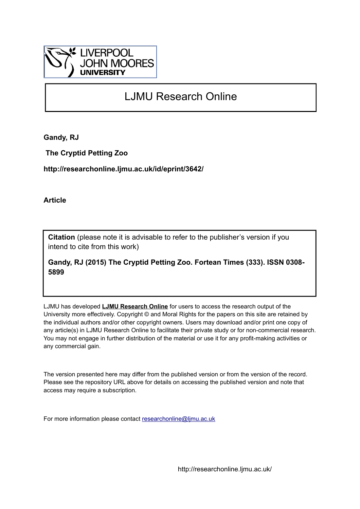

# LJMU Research Online

**Gandy, RJ**

 **The Cryptid Petting Zoo**

**http://researchonline.ljmu.ac.uk/id/eprint/3642/**

**Article**

**Citation** (please note it is advisable to refer to the publisher's version if you intend to cite from this work)

**Gandy, RJ (2015) The Cryptid Petting Zoo. Fortean Times (333). ISSN 0308- 5899** 

LJMU has developed **[LJMU Research Online](http://researchonline.ljmu.ac.uk/)** for users to access the research output of the University more effectively. Copyright © and Moral Rights for the papers on this site are retained by the individual authors and/or other copyright owners. Users may download and/or print one copy of any article(s) in LJMU Research Online to facilitate their private study or for non-commercial research. You may not engage in further distribution of the material or use it for any profit-making activities or any commercial gain.

The version presented here may differ from the published version or from the version of the record. Please see the repository URL above for details on accessing the published version and note that access may require a subscription.

For more information please contact [researchonline@ljmu.ac.uk](mailto:researchonline@ljmu.ac.uk)

http://researchonline.ljmu.ac.uk/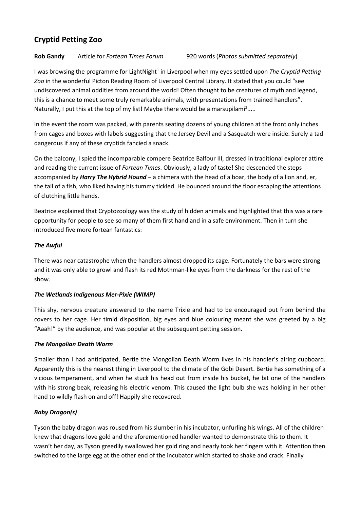# **Cryptid Petting Zoo**

# **Rob Gandy** Article for *Fortean Times Forum* 920 words (*Photos submitted separately*)

I was browsing the programme for LightNight<sup>1</sup> in Liverpool when my eyes settled upon *The Cryptid Petting Zoo* in the wonderful Picton Reading Room of Liverpool Central Library. It stated that you could "see undiscovered animal oddities from around the world! Often thought to be creatures of myth and legend, this is a chance to meet some truly remarkable animals, with presentations from trained handlers". Naturally, I put this at the top of my list! Maybe there would be a marsupilami<sup>2</sup>.....

In the event the room was packed, with parents seating dozens of young children at the front only inches from cages and boxes with labels suggesting that the Jersey Devil and a Sasquatch were inside. Surely a tad dangerous if any of these cryptids fancied a snack.

On the balcony, I spied the incomparable compere Beatrice Balfour III, dressed in traditional explorer attire and reading the current issue of *Fortean Times*. Obviously, a lady of taste! She descended the steps accompanied by *Harry The Hybrid Hound* – a chimera with the head of a boar, the body of a lion and, er, the tail of a fish, who liked having his tummy tickled. He bounced around the floor escaping the attentions of clutching little hands.

Beatrice explained that Cryptozoology was the study of hidden animals and highlighted that this was a rare opportunity for people to see so many of them first hand and in a safe environment. Then in turn she introduced five more fortean fantastics:

# *The Awful*

There was near catastrophe when the handlers almost dropped its cage. Fortunately the bars were strong and it was only able to growl and flash its red Mothman-like eyes from the darkness for the rest of the show.

# *The Wetlands Indigenous Mer-Pixie (WIMP)*

This shy, nervous creature answered to the name Trixie and had to be encouraged out from behind the covers to her cage. Her timid disposition, big eyes and blue colouring meant she was greeted by a big "Aaah!" by the audience, and was popular at the subsequent petting session.

## *The Mongolian Death Worm*

Smaller than I had anticipated, Bertie the Mongolian Death Worm lives in his handler's airing cupboard. Apparently this is the nearest thing in Liverpool to the climate of the Gobi Desert. Bertie has something of a vicious temperament, and when he stuck his head out from inside his bucket, he bit one of the handlers with his strong beak, releasing his electric venom. This caused the light bulb she was holding in her other hand to wildly flash on and off! Happily she recovered.

## *Baby Dragon(s)*

Tyson the baby dragon was roused from his slumber in his incubator, unfurling his wings. All of the children knew that dragons love gold and the aforementioned handler wanted to demonstrate this to them. It wasn't her day, as Tyson greedily swallowed her gold ring and nearly took her fingers with it. Attention then switched to the large egg at the other end of the incubator which started to shake and crack. Finally